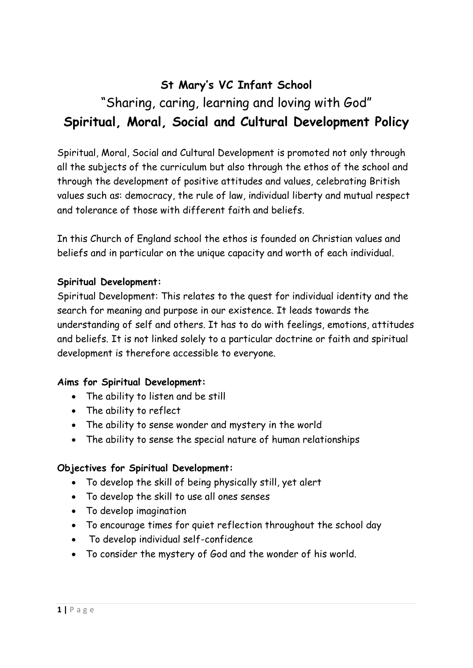# **St Mary's VC Infant School**  "Sharing, caring, learning and loving with God" **Spiritual, Moral, Social and Cultural Development Policy**

Spiritual, Moral, Social and Cultural Development is promoted not only through all the subjects of the curriculum but also through the ethos of the school and through the development of positive attitudes and values, celebrating British values such as: democracy, the rule of law, individual liberty and mutual respect and tolerance of those with different faith and beliefs.

In this Church of England school the ethos is founded on Christian values and beliefs and in particular on the unique capacity and worth of each individual.

#### **Spiritual Development:**

Spiritual Development: This relates to the quest for individual identity and the search for meaning and purpose in our existence. It leads towards the understanding of self and others. It has to do with feelings, emotions, attitudes and beliefs. It is not linked solely to a particular doctrine or faith and spiritual development is therefore accessible to everyone.

#### **Aims for Spiritual Development:**

- The ability to listen and be still
- The ability to reflect
- The ability to sense wonder and mystery in the world
- The ability to sense the special nature of human relationships

#### **Objectives for Spiritual Development:**

- To develop the skill of being physically still, yet alert
- To develop the skill to use all ones senses
- To develop imagination
- To encourage times for quiet reflection throughout the school day
- To develop individual self-confidence
- To consider the mystery of God and the wonder of his world.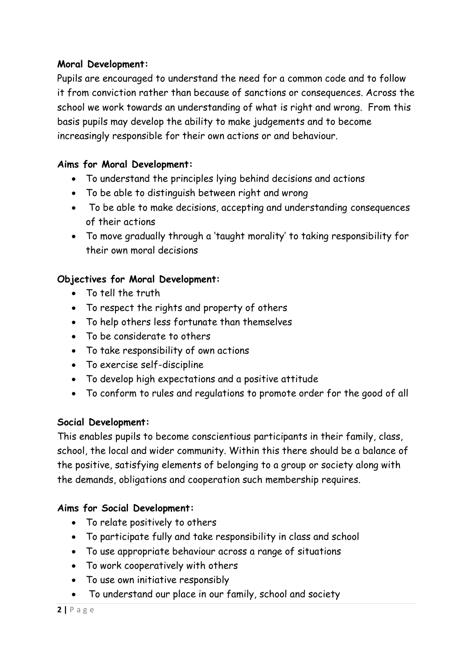#### **Moral Development:**

Pupils are encouraged to understand the need for a common code and to follow it from conviction rather than because of sanctions or consequences. Across the school we work towards an understanding of what is right and wrong. From this basis pupils may develop the ability to make judgements and to become increasingly responsible for their own actions or and behaviour.

## **Aims for Moral Development:**

- To understand the principles lying behind decisions and actions
- To be able to distinguish between right and wrong
- To be able to make decisions, accepting and understanding consequences of their actions
- To move gradually through a 'taught morality' to taking responsibility for their own moral decisions

# **Objectives for Moral Development:**

- To tell the truth
- To respect the rights and property of others
- To help others less fortunate than themselves
- To be considerate to others
- To take responsibility of own actions
- To exercise self-discipline
- To develop high expectations and a positive attitude
- To conform to rules and regulations to promote order for the good of all

# **Social Development:**

This enables pupils to become conscientious participants in their family, class, school, the local and wider community. Within this there should be a balance of the positive, satisfying elements of belonging to a group or society along with the demands, obligations and cooperation such membership requires.

# **Aims for Social Development:**

- To relate positively to others
- To participate fully and take responsibility in class and school
- To use appropriate behaviour across a range of situations
- To work cooperatively with others
- To use own initiative responsibly
- To understand our place in our family, school and society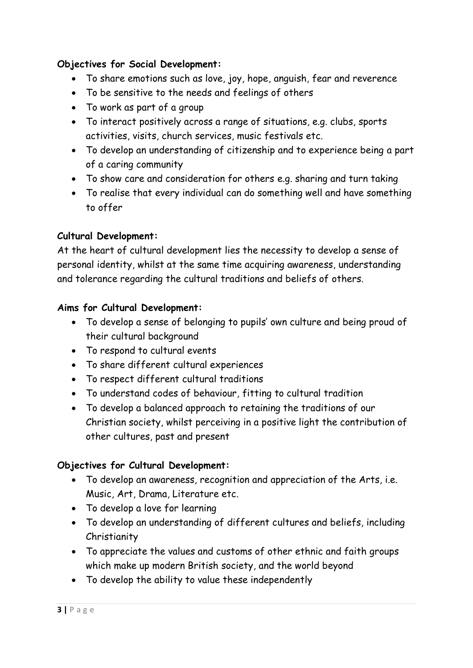## **Objectives for Social Development:**

- To share emotions such as love, joy, hope, anguish, fear and reverence
- To be sensitive to the needs and feelings of others
- To work as part of a group
- To interact positively across a range of situations, e.g. clubs, sports activities, visits, church services, music festivals etc.
- To develop an understanding of citizenship and to experience being a part of a caring community
- To show care and consideration for others e.g. sharing and turn taking
- To realise that every individual can do something well and have something to offer

## **Cultural Development:**

At the heart of cultural development lies the necessity to develop a sense of personal identity, whilst at the same time acquiring awareness, understanding and tolerance regarding the cultural traditions and beliefs of others.

#### **Aims for Cultural Development:**

- To develop a sense of belonging to pupils' own culture and being proud of their cultural background
- To respond to cultural events
- To share different cultural experiences
- To respect different cultural traditions
- To understand codes of behaviour, fitting to cultural tradition
- To develop a balanced approach to retaining the traditions of our Christian society, whilst perceiving in a positive light the contribution of other cultures, past and present

# **Objectives for Cultural Development:**

- To develop an awareness, recognition and appreciation of the Arts, i.e. Music, Art, Drama, Literature etc.
- To develop a love for learning
- To develop an understanding of different cultures and beliefs, including Christianity
- To appreciate the values and customs of other ethnic and faith groups which make up modern British society, and the world beyond
- To develop the ability to value these independently